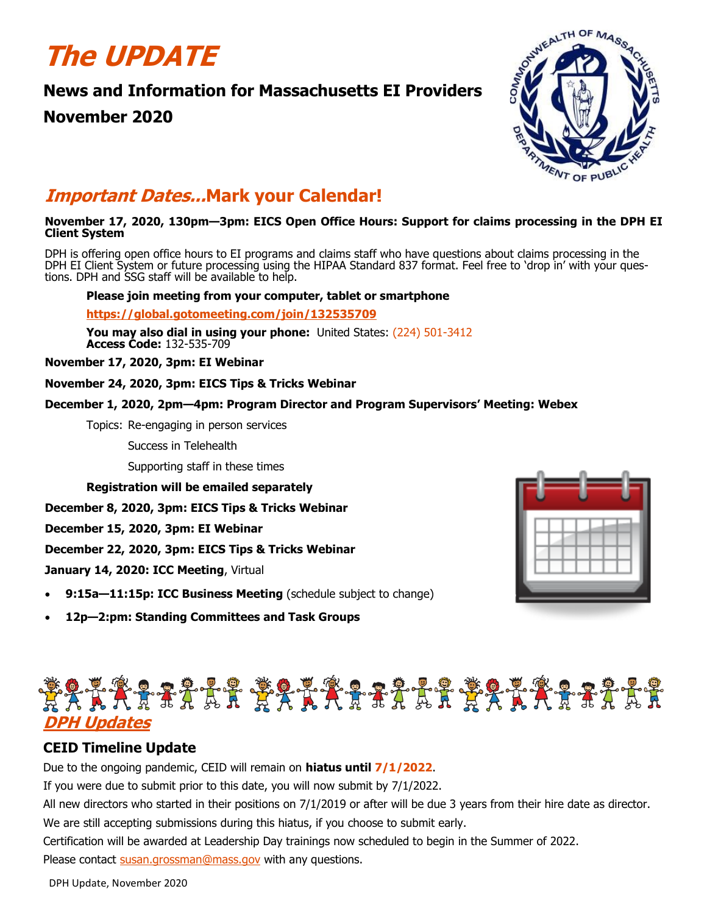# **The UPDATE**

# **News and Information for Massachusetts EI Providers**

# **November 2020**



# **Important Dates...Mark your Calendar!**

### **November 17, 2020, 130pm—3pm: EICS Open Office Hours: Support for claims processing in the DPH EI Client System**

DPH is offering open office hours to EI programs and claims staff who have questions about claims processing in the DPH EI Client System or future processing using the HIPAA Standard 837 format. Feel free to 'drop in' with your questions. DPH and SSG staff will be available to help.

### **Please join meeting from your computer, tablet or smartphone**

**<https://global.gotomeeting.com/join/132535709>**

**You may also dial in using your phone:** United States: [\(224\) 501](tel:+12245013412,,132535709)-3412 **Access Code:** 132-535-709

**November 17, 2020, 3pm: EI Webinar** 

**November 24, 2020, 3pm: EICS Tips & Tricks Webinar**

### **December 1, 2020, 2pm—4pm: Program Director and Program Supervisors' Meeting: Webex**

Topics: Re-engaging in person services

Success in Telehealth

Supporting staff in these times

**Registration will be emailed separately**

**December 8, 2020, 3pm: EICS Tips & Tricks Webinar**

**December 15, 2020, 3pm: EI Webinar**

**December 22, 2020, 3pm: EICS Tips & Tricks Webinar**

**January 14, 2020: ICC Meeting**, Virtual

- **9:15a—11:15p: ICC Business Meeting** (schedule subject to change)
- **12p—2:pm: Standing Committees and Task Groups**



# **DPH Updates**

## **CEID Timeline Update**

Due to the ongoing pandemic, CEID will remain on **hiatus until 7/1/2022**.

If you were due to submit prior to this date, you will now submit by 7/1/2022.

All new directors who started in their positions on 7/1/2019 or after will be due 3 years from their hire date as director.

We are still accepting submissions during this hiatus, if you choose to submit early.

Certification will be awarded at Leadership Day trainings now scheduled to begin in the Summer of 2022. Please contact [susan.grossman@mass.gov](mailto:susan.grossman@mass.gov) with any questions.